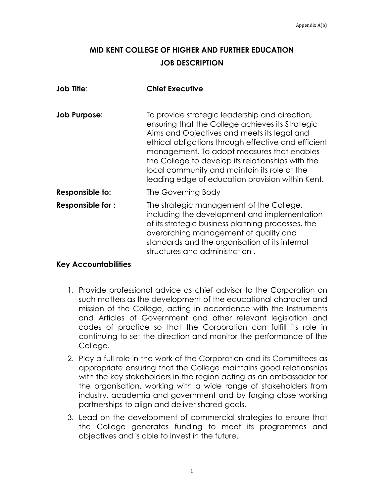## **MID KENT COLLEGE OF HIGHER AND FURTHER EDUCATION JOB DESCRIPTION**

| <b>Job Title:</b>       | <b>Chief Executive</b>                                                                                                                                                                                                                                                                                                                                                                                          |
|-------------------------|-----------------------------------------------------------------------------------------------------------------------------------------------------------------------------------------------------------------------------------------------------------------------------------------------------------------------------------------------------------------------------------------------------------------|
| <b>Job Purpose:</b>     | To provide strategic leadership and direction,<br>ensuring that the College achieves its Strategic<br>Aims and Objectives and meets its legal and<br>ethical obligations through effective and efficient<br>management. To adopt measures that enables<br>the College to develop its relationships with the<br>local community and maintain its role at the<br>leading edge of education provision within Kent. |
| Responsible to:         | The Governing Body                                                                                                                                                                                                                                                                                                                                                                                              |
| <b>Responsible for:</b> | The strategic management of the College,<br>including the development and implementation<br>of its strategic business planning processes, the<br>overarching management of quality and<br>standards and the organisation of its internal<br>structures and administration.                                                                                                                                      |

## **Key Accountabilities**

- 1. Provide professional advice as chief advisor to the Corporation on such matters as the development of the educational character and mission of the College, acting in accordance with the Instruments and Articles of Government and other relevant legislation and codes of practice so that the Corporation can fulfill its role in continuing to set the direction and monitor the performance of the College.
- 2. Play a full role in the work of the Corporation and its Committees as appropriate ensuring that the College maintains good relationships with the key stakeholders in the region acting as an ambassador for the organisation, working with a wide range of stakeholders from industry, academia and government and by forging close working partnerships to align and deliver shared goals.
- 3. Lead on the development of commercial strategies to ensure that the College generates funding to meet its programmes and objectives and is able to invest in the future.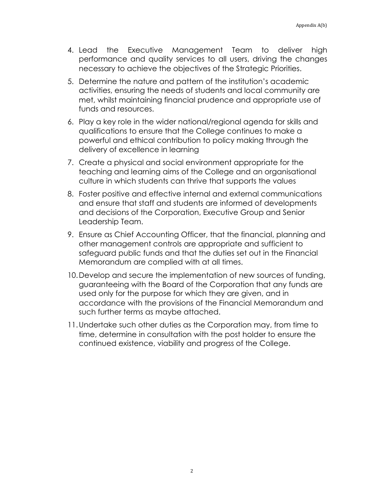- 4. Lead the Executive Management Team to deliver high performance and quality services to all users, driving the changes necessary to achieve the objectives of the Strategic Priorities.
- 5. Determine the nature and pattern of the institution's academic activities, ensuring the needs of students and local community are met, whilst maintaining financial prudence and appropriate use of funds and resources.
- 6. Play a key role in the wider national/regional agenda for skills and qualifications to ensure that the College continues to make a powerful and ethical contribution to policy making through the delivery of excellence in learning
- 7. Create a physical and social environment appropriate for the teaching and learning aims of the College and an organisational culture in which students can thrive that supports the values
- 8. Foster positive and effective internal and external communications and ensure that staff and students are informed of developments and decisions of the Corporation, Executive Group and Senior Leadership Team.
- 9. Ensure as Chief Accounting Officer, that the financial, planning and other management controls are appropriate and sufficient to safeguard public funds and that the duties set out in the Financial Memorandum are complied with at all times.
- 10.Develop and secure the implementation of new sources of funding, guaranteeing with the Board of the Corporation that any funds are used only for the purpose for which they are given, and in accordance with the provisions of the Financial Memorandum and such further terms as maybe attached.
- 11.Undertake such other duties as the Corporation may, from time to time, determine in consultation with the post holder to ensure the continued existence, viability and progress of the College.